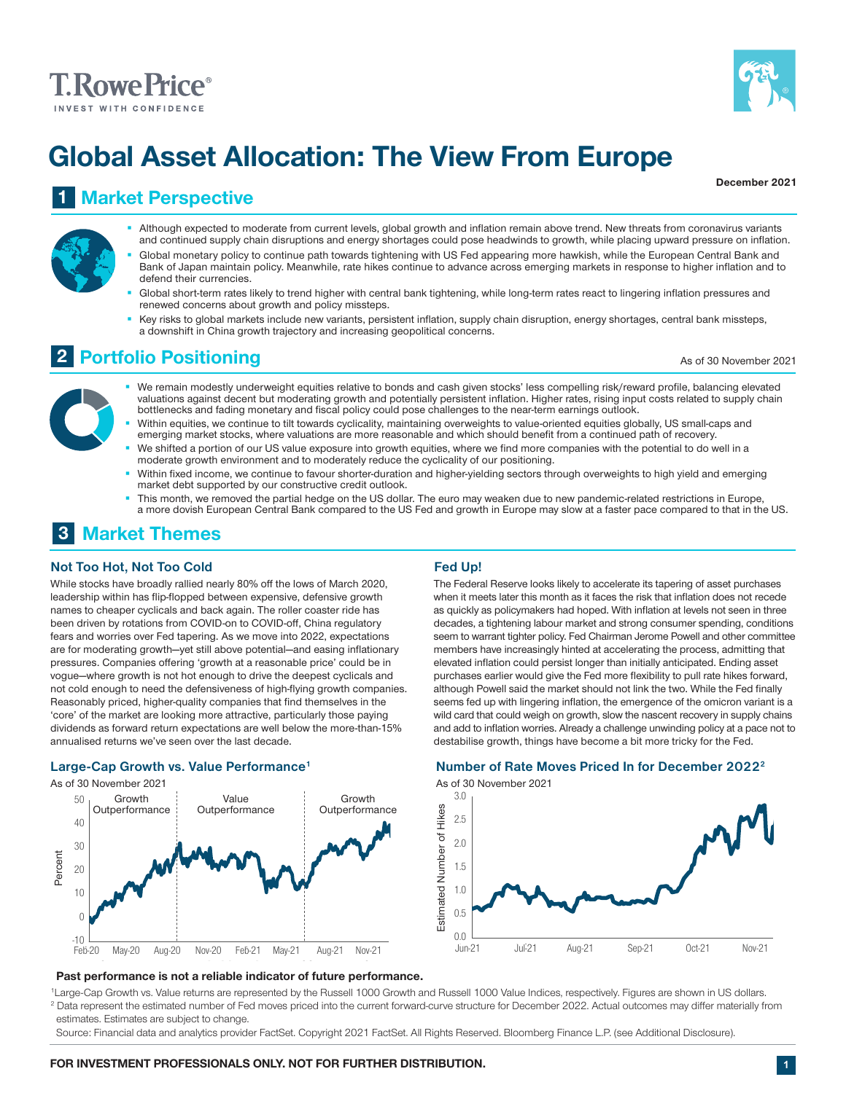While stocks have broadly rallied nearly 80% off the lows of March 2020, leadership within has flip-flopped between expensive, defensive growth names to cheaper cyclicals and back again. The roller coaster ride has

been driven by rotations from COVID-on to COVID-off, China regulatory fears and worries over Fed tapering. As we move into 2022, expectations are for moderating growth-yet still above potential-and easing inflationary pressures. Companies offering 'growth at a reasonable price' could be in vogue—where growth is not hot enough to drive the deepest cyclicals and ogue–where growth is not hot enough to drive the deepest cyclicals and purchases earlier would give the Fed more flexibility to the Teories of high-flying growth companies. In although Powell said the market should not li Reasonably priced, higher-quality companies that find themselves in the 'core' of the market are looking more attractive, particularly those paying dividends as forward return expectations are well below the more-than-15% annualised returns we've seen over the last decade. the more-than-15% annualized returns we've seen over the last decade.

> Value Value Outperformance Outperformance

### **Past performance is not a reliable indicator of future performance. Past performance is not a reliable indicator of future performance.** Feb-20 May-20 Aug-20 Nov-20 Feb-21 May-21 Aug-21 Nov-21 Past performance is not a reliable indicator of future performance.

<sup>1</sup>Large-Cap Growth vs. Value returns are represented by the Russell 1000 Growth and Russell 1000 Value Indices, respectively. Figures are shown in US dollars. Large cap are not the estimated number of Fed moves priced into the current forward-curve structure for December 2022. Actual outcomes may differ materially from  $^2$  Data represent the estimated number of Fed moves priced estimates. Estimates are subject to change. Source: Financial data and analytics provider FactSet. Copyright 2021 FactSet. Copyright 2021 FactSet. All Rights Reserved. The state of the state of the state of the state of the state of the state of the state of the sta

esumates: Estimates are subject to change.<br>Source: Financial data and analytics provider FactSet. Copyright 2021 FactSet. All Rights Reserved. Bloomberg Finance L.P. (see Additional Disclosure).

Growth Growth Outperformance Outperformance

# **FOR INVESTMENT PROFESSIONALS ONLY. NOT FOR FURTHER DISTRIBUTION.**

# Fed Up!

The Federal Reserve looks likely to accelerate its tapering of asset purchases when it meets later this month as it faces the risk that inflation does not recede as quickly as policymakers had hoped. With inflation at levels not seen in three decades, a tightening labour market and strong consumer spending, conditions seem to warrant tighter policy. Fed Chairman Jerome Powell and other committee members have increasingly hinted at accelerating the process, admitting that elevated inflation could persist longer than initially anticipated. Ending asset purchases earlier would give the Fed more flexibility to pull rate hikes forward, although Powell said the market should not link the two. While the Fed finally seems fed up with lingering inflation, the emergence of the omicron variant is a wild card that could weigh on growth, slow the nascent recovery in supply chains and add to inflation worries. Already a challenge unwinding policy at a pace not to and add to inhation nomice. Already a chainsing canninaling policy at a pace not destabilise growth, things have become a bit more tricky for the Fed. pace not to destabilize growth, things have gotten a bit more tricky for the Fed.

# Number of Rate Moves Priced In for December 20222 Number of Rate Moves Priced In for December 20222



#### defend their currencies. " Global short-term rates likely to trend higher with central bank tightening, while long-term rates react to lingering inflation pressures and renewed concerns about growth and policy missteps. renewed concerns about growth and policy missteps. § Key risks to global markets include new variants, persistent inflation, supply chain disruption, energy shortages, central bank missteps, a downshift in China growth trajectory and increasing geopolitical concerns.

**2 Portfolio Positioning** downshift in China growth trajectory, and increasing geopolitical concerns.

As of 30 November 2021

- We remain modestly underweight equities relative to bonds and cash given stocks' less compelling risk/reward profile, balancing elevated valuations against decent but moderating growth and potentially persistent inflation. Higher rates, rising input costs related to supply chain bottlenecks and fading monetary and fiscal policy could pose challenges to the near-term earnings outlook. 2 Portfolio Positioning As of 30 November 2021
	- Within equities, we continue to tilt towards cyclicality, maintaining overweights to value-oriented equities globally, US small-caps and emerging market stocks, where valuations are more reasonable and which should benefit from a continued path of recovery. bottlent requires, we continue to the towards of charactery, manitality over weights to value outlook. The scat<br>In ording market stocks where valuations are more researchle and which should henofit from a continu

**1** Market Perspective Assembly 2021

Although expected to moderate from current levels, global growth and inflation remain above trend. New threats from coronavirus variants and continued supply chain disruptions and energy shortages could pose headwinds to growth, while placing upward pressure on inflation. " Global monetary policy to continue path towards tightening with US Fed appearing more hawkish, while the European Central Bank and Bank of Japan maintain policy. Meanwhile, rate hikes continue to advance across emerging markets in response to higher inflation and to

**Global Asset Allocation: The View From Europe** 

- " We shifted a portion of our US value exposure into growth equities, where we find more companies with the potential to do well in a moderate growth environment and to moderately reduce the cyclicality of our positioning.
- Within fixed income, we continue to favour shorter-duration and higher-yielding sectors through overweights to high yield and emerging market debt supported by our constructive credit outlook.
- This month, we removed the partial hedge on the US dollar. The euro may weaken due to new pandemic-related restrictions in Europe, a more dovish European Central Bank compared to the US Fed and growth in Europe may slow at a faster pace compared to that in the US.

### **3 Market Themes**

# ware to Mot Too Cold<br>3 Not Too Hot, Not Too Cold

Growth Growth Outperformance Outperformance

Percent Percent

## Large-Cap Growth vs. Value Performance<sup>1</sup> As of 30 November 2021 As of 30 November 2021

Feb-20 May-20 Aug-20 Nov-20 Feb-21 May-21 Aug-21 Nov-21

Source. I mandal data and analytics provident actoel. Oopyngint 2021 Factoel. Air mgri





**December 2021**

T. ROWE PRICE 1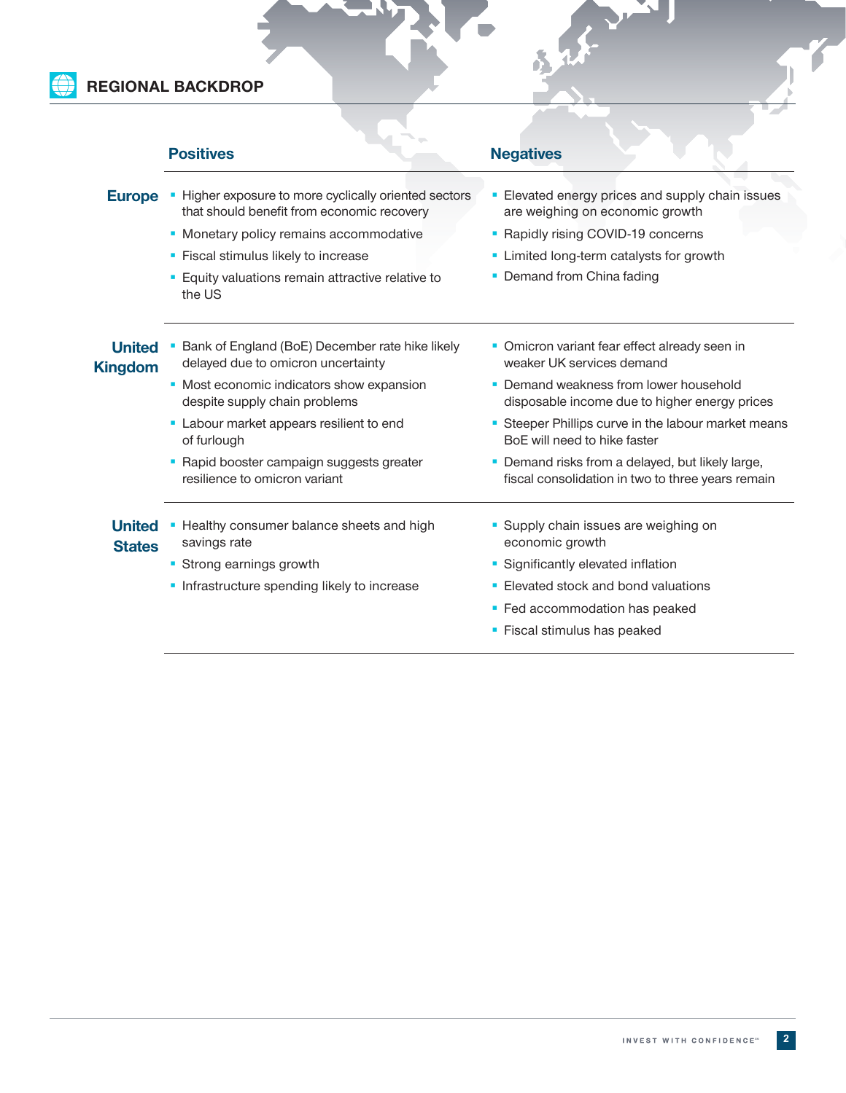

|                                 | <b>Positives</b>                                                                                  | <b>Negatives</b>                                                                                      |  |
|---------------------------------|---------------------------------------------------------------------------------------------------|-------------------------------------------------------------------------------------------------------|--|
| <b>Europe</b>                   | Higher exposure to more cyclically oriented sectors<br>that should benefit from economic recovery | • Elevated energy prices and supply chain issues<br>are weighing on economic growth                   |  |
|                                 | • Monetary policy remains accommodative                                                           | • Rapidly rising COVID-19 concerns                                                                    |  |
|                                 | • Fiscal stimulus likely to increase                                                              | • Limited long-term catalysts for growth                                                              |  |
|                                 | <b>Equity valuations remain attractive relative to</b><br>the US                                  | • Demand from China fading                                                                            |  |
| <b>United</b><br><b>Kingdom</b> | Bank of England (BoE) December rate hike likely<br>delayed due to omicron uncertainty             | • Omicron variant fear effect already seen in<br>weaker UK services demand                            |  |
|                                 | • Most economic indicators show expansion<br>despite supply chain problems                        | • Demand weakness from lower household<br>disposable income due to higher energy prices               |  |
|                                 | • Labour market appears resilient to end<br>of furlough                                           | • Steeper Phillips curve in the labour market means<br>BoE will need to hike faster                   |  |
|                                 | • Rapid booster campaign suggests greater<br>resilience to omicron variant                        | • Demand risks from a delayed, but likely large,<br>fiscal consolidation in two to three years remain |  |
| <b>United</b><br><b>States</b>  | Healthy consumer balance sheets and high<br>savings rate                                          | • Supply chain issues are weighing on<br>economic growth                                              |  |
|                                 | • Strong earnings growth                                                                          | • Significantly elevated inflation                                                                    |  |
|                                 | • Infrastructure spending likely to increase                                                      | • Elevated stock and bond valuations                                                                  |  |
|                                 |                                                                                                   | • Fed accommodation has peaked                                                                        |  |
|                                 |                                                                                                   | • Fiscal stimulus has peaked                                                                          |  |

 $\boldsymbol{\hat{b}}$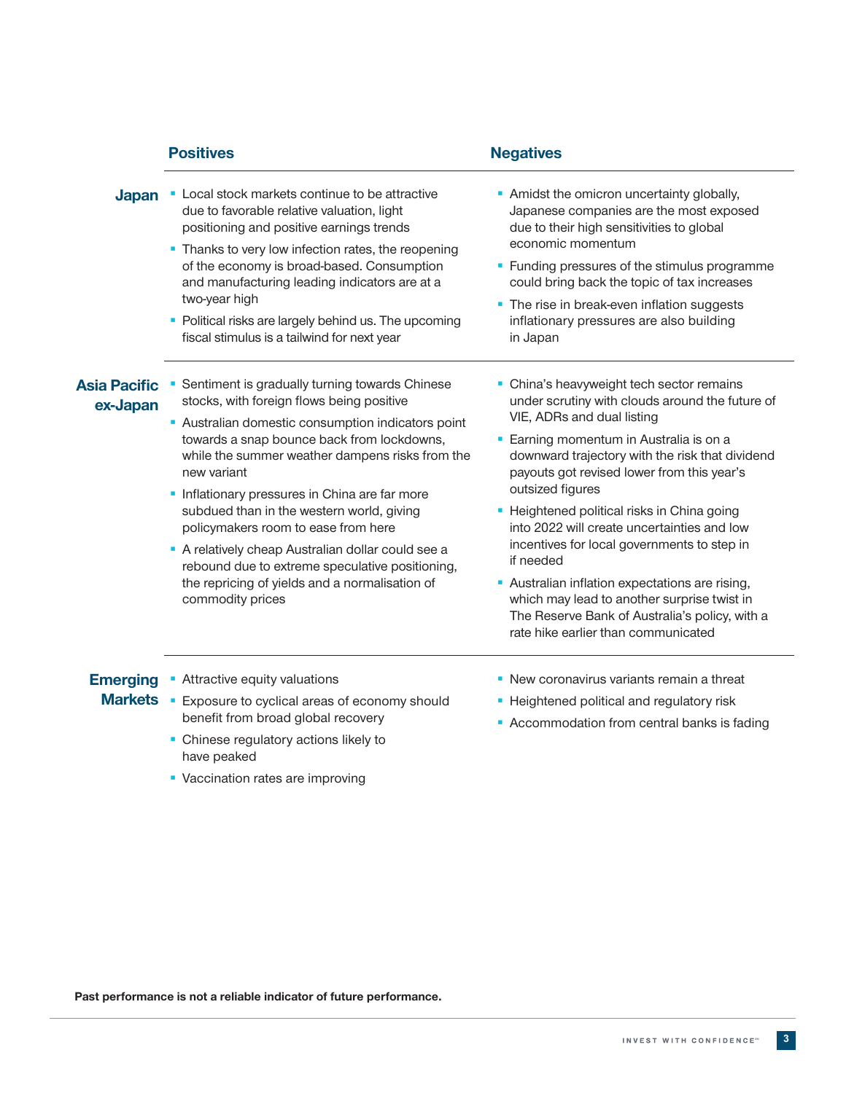|                                 | <b>Positives</b>                                                                                                                                                                                 | <b>Negatives</b>                                                                                                                                                                        |  |  |
|---------------------------------|--------------------------------------------------------------------------------------------------------------------------------------------------------------------------------------------------|-----------------------------------------------------------------------------------------------------------------------------------------------------------------------------------------|--|--|
| <b>Japan</b>                    | • Local stock markets continue to be attractive<br>due to favorable relative valuation, light<br>positioning and positive earnings trends<br>• Thanks to very low infection rates, the reopening | • Amidst the omicron uncertainty globally,<br>Japanese companies are the most exposed<br>due to their high sensitivities to global<br>economic momentum                                 |  |  |
|                                 | of the economy is broad-based. Consumption<br>and manufacturing leading indicators are at a<br>two-year high                                                                                     | • Funding pressures of the stimulus programme<br>could bring back the topic of tax increases<br>• The rise in break-even inflation suggests                                             |  |  |
|                                 | • Political risks are largely behind us. The upcoming<br>fiscal stimulus is a tailwind for next year                                                                                             | inflationary pressures are also building<br>in Japan                                                                                                                                    |  |  |
| <b>Asia Pacific</b><br>ex-Japan | Sentiment is gradually turning towards Chinese<br>stocks, with foreign flows being positive                                                                                                      | • China's heavyweight tech sector remains<br>under scrutiny with clouds around the future of<br>VIE, ADRs and dual listing                                                              |  |  |
|                                 | • Australian domestic consumption indicators point<br>towards a snap bounce back from lockdowns,<br>while the summer weather dampens risks from the<br>new variant                               | • Earning momentum in Australia is on a<br>downward trajectory with the risk that dividend<br>payouts got revised lower from this year's                                                |  |  |
|                                 | Inflationary pressures in China are far more<br>subdued than in the western world, giving<br>policymakers room to ease from here                                                                 | outsized figures<br>• Heightened political risks in China going<br>into 2022 will create uncertainties and low                                                                          |  |  |
|                                 | A relatively cheap Australian dollar could see a<br>rebound due to extreme speculative positioning,                                                                                              | incentives for local governments to step in<br>if needed                                                                                                                                |  |  |
|                                 | the repricing of yields and a normalisation of<br>commodity prices                                                                                                                               | • Australian inflation expectations are rising,<br>which may lead to another surprise twist in<br>The Reserve Bank of Australia's policy, with a<br>rate hike earlier than communicated |  |  |
| <b>Emerging</b>                 | Attractive equity valuations                                                                                                                                                                     | • New coronavirus variants remain a threat<br>• Heightened political and regulatory risk<br>• Accommodation from central banks is fading                                                |  |  |
|                                 | Markets • Exposure to cyclical areas of economy should<br>benefit from broad global recovery                                                                                                     |                                                                                                                                                                                         |  |  |
|                                 | • Chinese regulatory actions likely to<br>have peaked                                                                                                                                            |                                                                                                                                                                                         |  |  |
|                                 | • Vaccination rates are improving                                                                                                                                                                |                                                                                                                                                                                         |  |  |

**Past performance is not a reliable indicator of future performance.**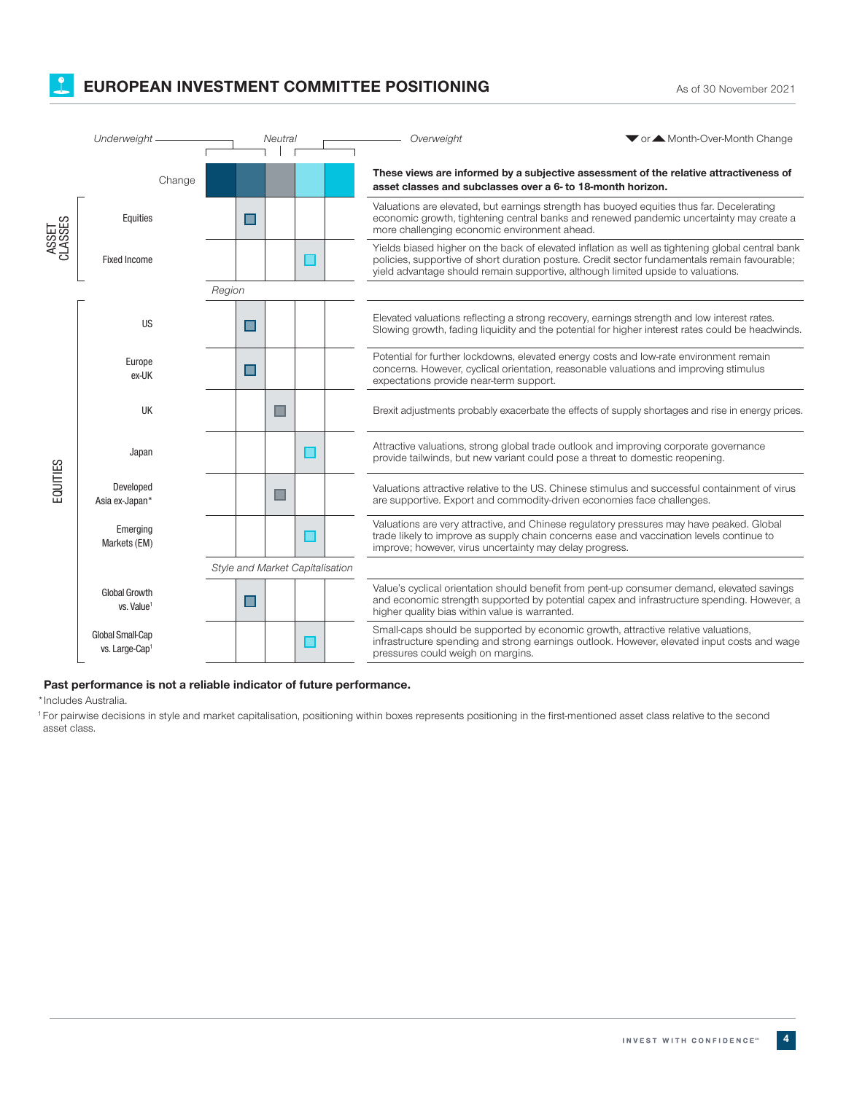# **EUROPEAN INVESTMENT COMMITTEE POSITIONING** As of 30 November 2021

| <b>Underweight</b> |                                                | Neutral                         |  |  | Overweight                                                                                                                                           | ▼ or ▲ Month-Over-Month Change                                                                                                                                                                    |  |
|--------------------|------------------------------------------------|---------------------------------|--|--|------------------------------------------------------------------------------------------------------------------------------------------------------|---------------------------------------------------------------------------------------------------------------------------------------------------------------------------------------------------|--|
| Change             |                                                |                                 |  |  | These views are informed by a subjective assessment of the relative attractiveness of<br>asset classes and subclasses over a 6- to 18-month horizon. |                                                                                                                                                                                                   |  |
| ASSET<br>CLASSES   | Equities                                       | П                               |  |  | more challenging economic environment ahead.                                                                                                         | Valuations are elevated, but earnings strength has buoyed equities thus far. Decelerating<br>economic growth, tightening central banks and renewed pandemic uncertainty may create a              |  |
|                    | <b>Fixed Income</b>                            |                                 |  |  | yield advantage should remain supportive, although limited upside to valuations.                                                                     | Yields biased higher on the back of elevated inflation as well as tightening global central bank<br>policies, supportive of short duration posture. Credit sector fundamentals remain favourable; |  |
|                    |                                                | Region                          |  |  |                                                                                                                                                      |                                                                                                                                                                                                   |  |
| EQUITIES           | <b>US</b>                                      | ⊔                               |  |  |                                                                                                                                                      | Elevated valuations reflecting a strong recovery, earnings strength and low interest rates.<br>Slowing growth, fading liquidity and the potential for higher interest rates could be headwinds.   |  |
|                    | Europe<br>ex-UK                                | ⊔                               |  |  | expectations provide near-term support.                                                                                                              | Potential for further lockdowns, elevated energy costs and low-rate environment remain<br>concerns. However, cyclical orientation, reasonable valuations and improving stimulus                   |  |
|                    | <b>UK</b>                                      |                                 |  |  |                                                                                                                                                      | Brexit adjustments probably exacerbate the effects of supply shortages and rise in energy prices.                                                                                                 |  |
|                    | Japan                                          |                                 |  |  | provide tailwinds, but new variant could pose a threat to domestic reopening.                                                                        | Attractive valuations, strong global trade outlook and improving corporate governance                                                                                                             |  |
|                    | Developed<br>Asia ex-Japan*                    |                                 |  |  | are supportive. Export and commodity-driven economies face challenges.                                                                               | Valuations attractive relative to the US. Chinese stimulus and successful containment of virus                                                                                                    |  |
|                    | Emerging<br>Markets (EM)                       |                                 |  |  | improve; however, virus uncertainty may delay progress.                                                                                              | Valuations are very attractive, and Chinese regulatory pressures may have peaked. Global<br>trade likely to improve as supply chain concerns ease and vaccination levels continue to              |  |
|                    |                                                | Style and Market Capitalisation |  |  |                                                                                                                                                      |                                                                                                                                                                                                   |  |
|                    | <b>Global Growth</b><br>vs. Value <sup>1</sup> | П                               |  |  | higher quality bias within value is warranted.                                                                                                       | Value's cyclical orientation should benefit from pent-up consumer demand, elevated savings<br>and economic strength supported by potential capex and infrastructure spending. However, a          |  |
|                    | Global Small-Cap<br>vs. Large-Cap1             |                                 |  |  | pressures could weigh on margins.                                                                                                                    | Small-caps should be supported by economic growth, attractive relative valuations,<br>infrastructure spending and strong earnings outlook. However, elevated input costs and wage                 |  |

### **Past performance is not a reliable indicator of future performance.**

\*Includes Australia.

1 For pairwise decisions in style and market capitalisation, positioning within boxes represents positioning in the first-mentioned asset class relative to the second asset class.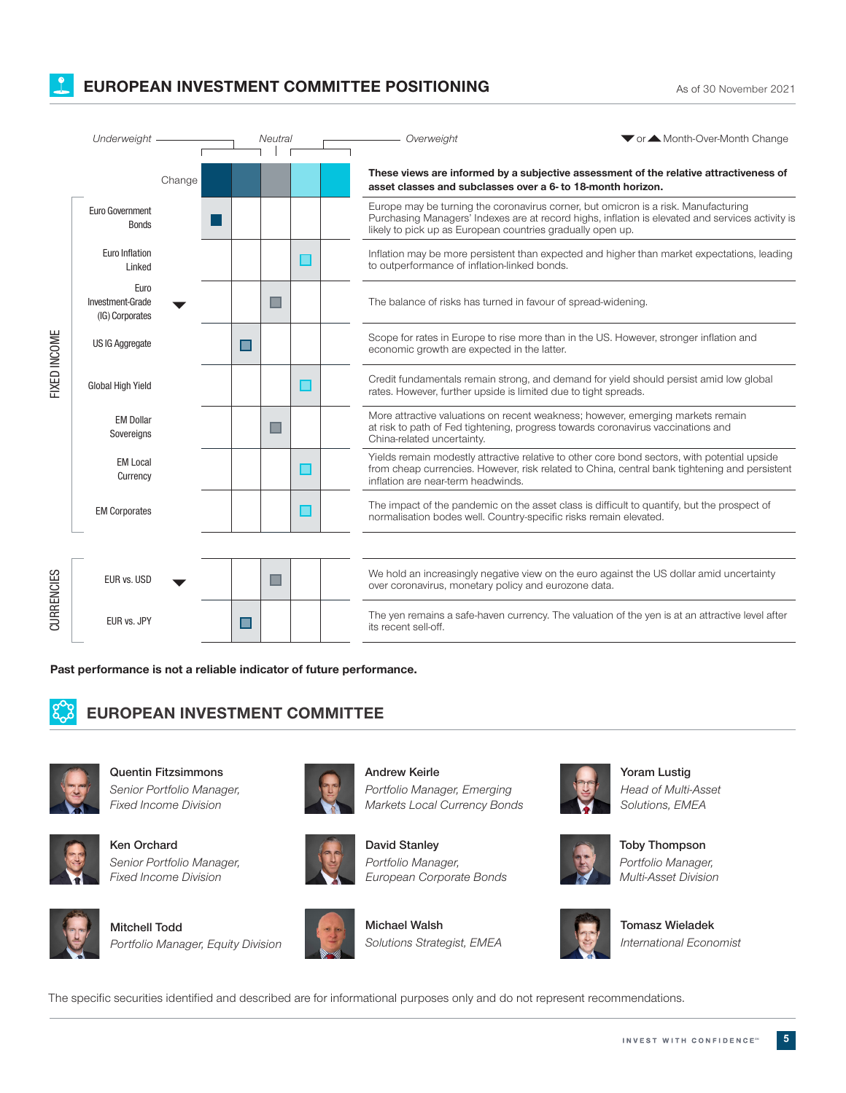# **EUROPEAN INVESTMENT COMMITTEE POSITIONING**



**Past performance is not a reliable indicator of future performance.**



# **EUROPEAN INVESTMENT COMMITTEE**



**Quentin Fitzsimmons** *Senior Portfolio Manager, Fixed Income Division*



**Ken Orchard** *Senior Portfolio Manager, Fixed Income Division*



**Mitchell Todd** *Portfolio Manager, Equity Division*





**David Stanley** *Portfolio Manager, European Corporate Bonds*

*Portfolio Manager, Emerging Markets Local Currency Bonds*

**Michael Walsh** *Solutions Strategist, EMEA*

**Andrew Keirle**



**Yoram Lustig** *Head of Multi‑Asset Solutions, EMEA*



**Toby Thompson** *Portfolio Manager, Multi‑Asset Division*



**Tomasz Wieladek** *International Economist*

The specific securities identified and described are for informational purposes only and do not represent recommendations.